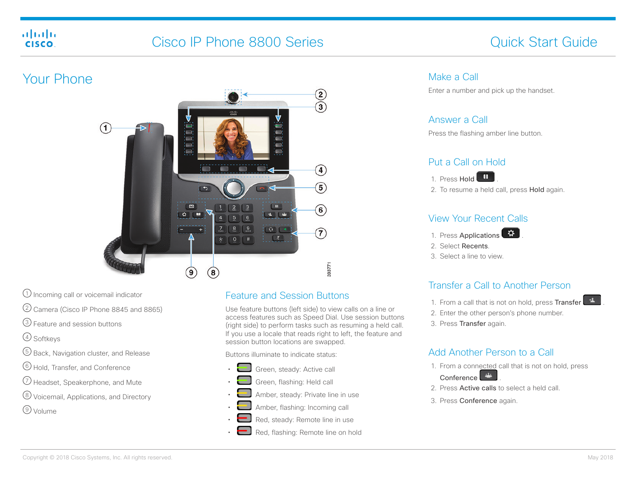#### aludu cisco.

# Cisco IP Phone 8800 Series Cisco IP Phone 8800 Series Cuick Start Guide



- $\Omega$  Incoming call or voicemail indicator
- 2 Camera (Cisco IP Phone 8845 and 8865)
- 3 Feature and session buttons
- 4 Softkeys
- 5 Back, Navigation cluster, and Release
- 6 Hold, Transfer, and Conference
- 7 Headset, Speakerphone, and Mute
- 8 Voicemail, Applications, and Directory
- 9 Volume

## Feature and Session Buttons

Use feature buttons (left side) to view calls on a line or access features such as Speed Dial. Use session buttons (right side) to perform tasks such as resuming a held call. If you use a locale that reads right to left, the feature and session button locations are swapped.

Buttons illuminate to indicate status:

- Green, steady: Active call
- Green, flashing: Held call
- Amber, steady: Private line in use
- Amber, flashing: Incoming call
- Red, steady: Remote line in use
- Red, flashing: Remote line on hold

#### Make a Call

Enter a number and pick up the handset.

#### Answer a Call

Press the flashing amber line button.

### Put a Call on Hold



2. To resume a held call, press Hold again.

#### View Your Recent Calls

- 1. Press Applications <sup>3</sup>
- 2. Select Recents.
- 3. Select a line to view.

## Transfer a Call to Another Person

- 1. From a call that is not on hold, press Transfer
- 2. Enter the other person's phone number.
- 3. Press Transfer again.

## Add Another Person to a Call

- 1. From a connected call that is not on hold, press
	- Conference
- 2. Press Active calls to select a held call.
- 3. Press Conference again.